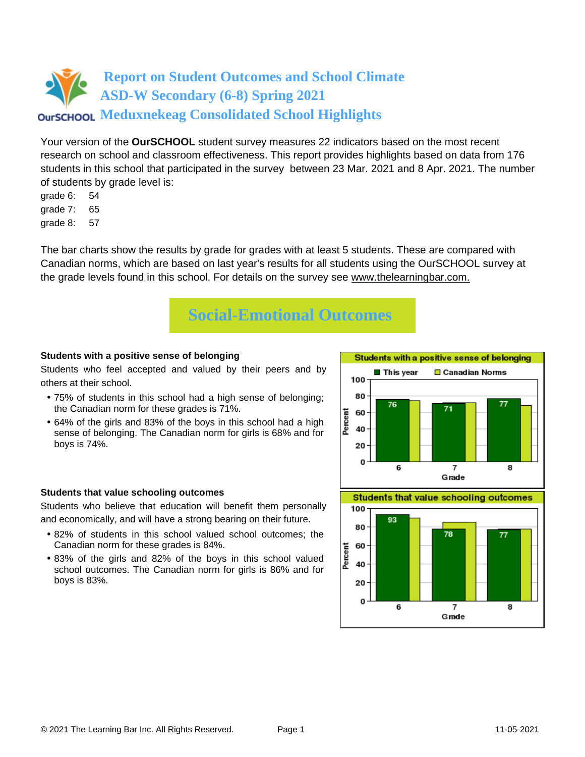Your version of the **OurSCHOOL** student survey measures 22 indicators based on the most recent research on school and classroom effectiveness. This report provides highlights based on data from 176 students in this school that participated in the survey between 23 Mar. 2021 and 8 Apr. 2021. The number of students by grade level is:

- grade 6: 54
- grade 7: 65
- grade 8: 57

The bar charts show the results by grade for grades with at least 5 students. These are compared with Canadian norms, which are based on last year's results for all students using the OurSCHOOL survey at the grade levels found in this school. For details on the survey see [www.thelearningbar.com.](www.thelearningbar.com)



### **Students with a positive sense of belonging**

Students who feel accepted and valued by their peers and by others at their school.

- 75% of students in this school had a high sense of belonging; the Canadian norm for these grades is 71%.
- 64% of the girls and 83% of the boys in this school had a high sense of belonging. The Canadian norm for girls is 68% and for boys is 74%.



#### **Students that value schooling outcomes**

Students who believe that education will benefit them personally and economically, and will have a strong bearing on their future.

- 82% of students in this school valued school outcomes; the Canadian norm for these grades is 84%.
- 83% of the girls and 82% of the boys in this school valued school outcomes. The Canadian norm for girls is 86% and for boys is 83%.

**Students that value schooling outcomes** 

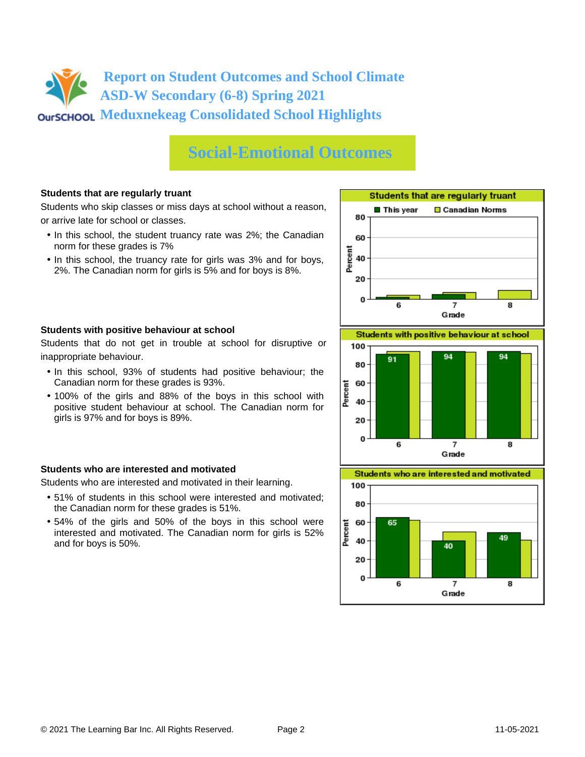## **Social-Emotional Outcomes**

### **Students that are regularly truant**

Students who skip classes or miss days at school without a reason, or arrive late for school or classes.

- In this school, the student truancy rate was 2%; the Canadian norm for these grades is 7%
- In this school, the truancy rate for girls was 3% and for boys, 2%. The Canadian norm for girls is 5% and for boys is 8%.





Students that do not get in trouble at school for disruptive or inappropriate behaviour.

- In this school, 93% of students had positive behaviour; the Canadian norm for these grades is 93%.
- 100% of the girls and 88% of the boys in this school with positive student behaviour at school. The Canadian norm for girls is 97% and for boys is 89%.

### **Students who are interested and motivated**

Students who are interested and motivated in their learning.

- 51% of students in this school were interested and motivated; the Canadian norm for these grades is 51%.
- 54% of the girls and 50% of the boys in this school were interested and motivated. The Canadian norm for girls is 52% and for boys is 50%.





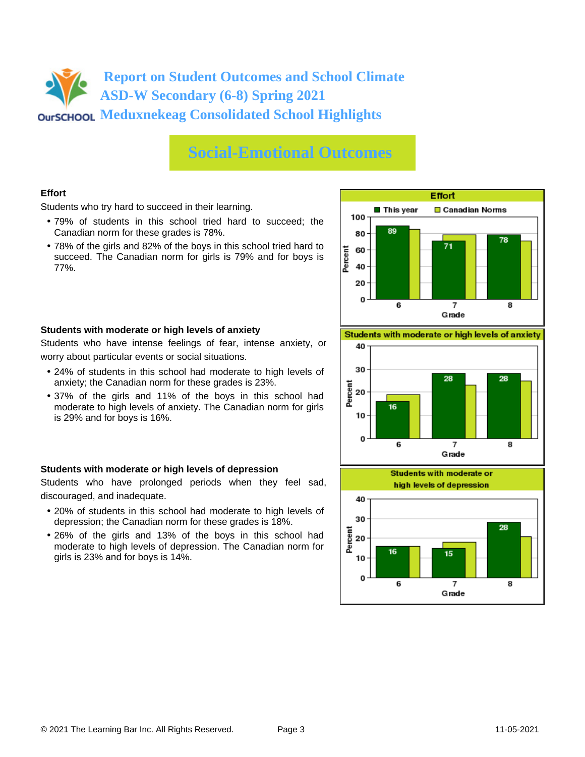## **Social-Emotional Outcomes**

## **Effort**

Students who try hard to succeed in their learning.

- 79% of students in this school tried hard to succeed; the Canadian norm for these grades is 78%.
- 78% of the girls and 82% of the boys in this school tried hard to succeed. The Canadian norm for girls is 79% and for boys is 77%.



### **Students with moderate or high levels of anxiety**

Students who have intense feelings of fear, intense anxiety, or worry about particular events or social situations.

- 24% of students in this school had moderate to high levels of anxiety; the Canadian norm for these grades is 23%.
- 37% of the girls and 11% of the boys in this school had moderate to high levels of anxiety. The Canadian norm for girls is 29% and for boys is 16%.

### **Students with moderate or high levels of depression**

Students who have prolonged periods when they feel sad, discouraged, and inadequate.

- 20% of students in this school had moderate to high levels of depression; the Canadian norm for these grades is 18%.
- 26% of the girls and 13% of the boys in this school had moderate to high levels of depression. The Canadian norm for girls is 23% and for boys is 14%.

Students with moderate or high levels of anxiety



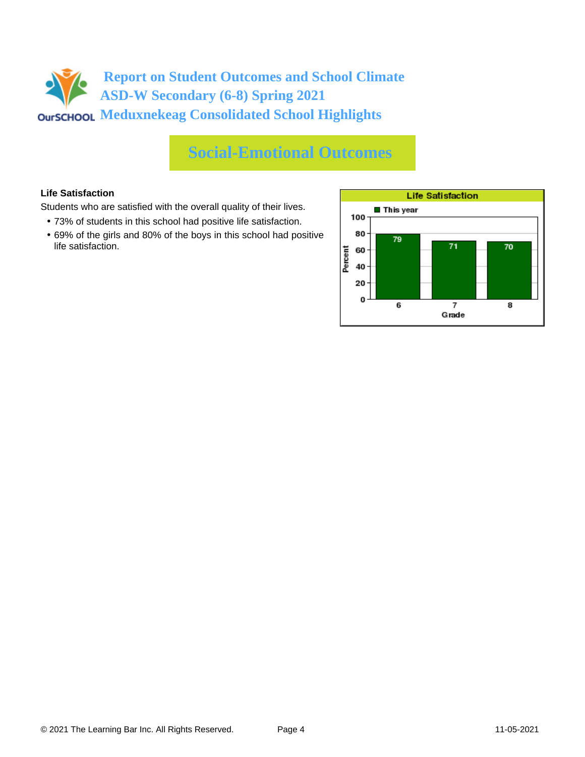## **Social-Emotional Outcomes**

## **Life Satisfaction**

Students who are satisfied with the overall quality of their lives.

- 73% of students in this school had positive life satisfaction.
- 69% of the girls and 80% of the boys in this school had positive life satisfaction.

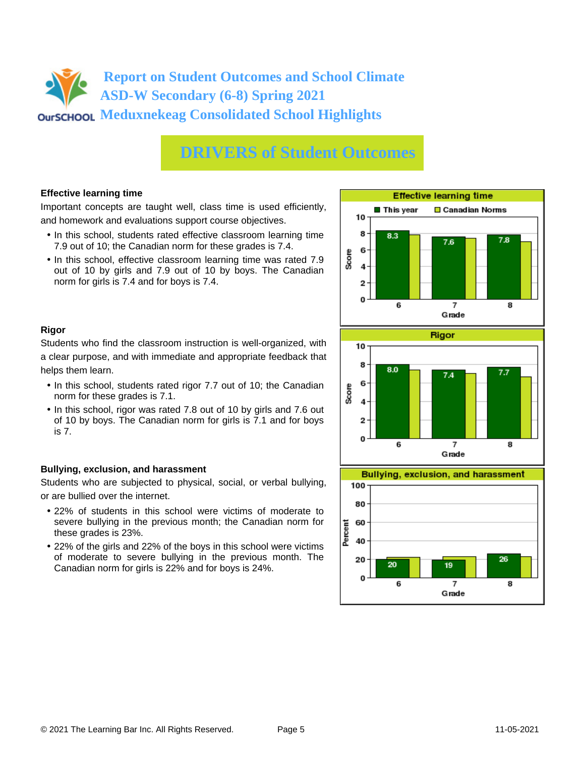## **DRIVERS of Student Outcomes**

### **Effective learning time**

Important concepts are taught well, class time is used efficiently, and homework and evaluations support course objectives.

- In this school, students rated effective classroom learning time 7.9 out of 10; the Canadian norm for these grades is 7.4.
- In this school, effective classroom learning time was rated 7.9 out of 10 by girls and 7.9 out of 10 by boys. The Canadian norm for girls is 7.4 and for boys is 7.4.



## **Rigor**

Students who find the classroom instruction is well-organized, with a clear purpose, and with immediate and appropriate feedback that helps them learn.

- In this school, students rated rigor 7.7 out of 10; the Canadian norm for these grades is 7.1.
- In this school, rigor was rated 7.8 out of 10 by girls and 7.6 out of 10 by boys. The Canadian norm for girls is 7.1 and for boys is 7.

## **Bullying, exclusion, and harassment**

Students who are subjected to physical, social, or verbal bullying, or are bullied over the internet.

- 22% of students in this school were victims of moderate to severe bullying in the previous month; the Canadian norm for these grades is 23%.
- 22% of the girls and 22% of the boys in this school were victims of moderate to severe bullying in the previous month. The Canadian norm for girls is 22% and for boys is 24%.



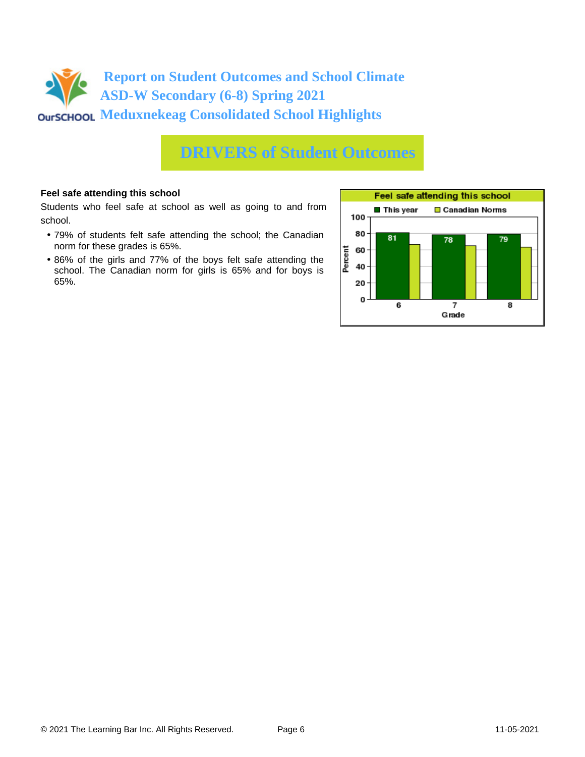

## **DRIVERS of Student Outcomes**

### **Feel safe attending this school**

Students who feel safe at school as well as going to and from school.

- 79% of students felt safe attending the school; the Canadian norm for these grades is 65%.
- 86% of the girls and 77% of the boys felt safe attending the school. The Canadian norm for girls is 65% and for boys is 65%.

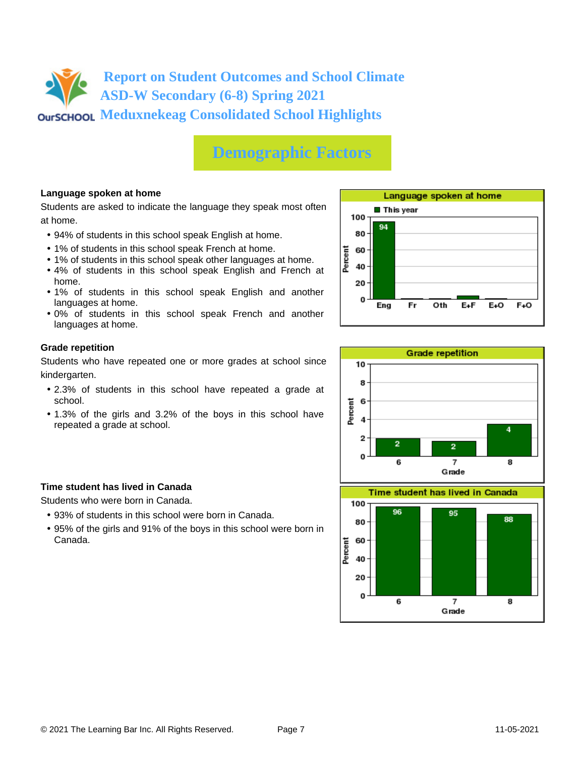# **Demographic Factors**

### **Language spoken at home**

Students are asked to indicate the language they speak most often at home.

- 94% of students in this school speak English at home.
- 1% of students in this school speak French at home.
- 1% of students in this school speak other languages at home.
- 4% of students in this school speak English and French at home.
- 1% of students in this school speak English and another languages at home.
- 0% of students in this school speak French and another languages at home.

### **Grade repetition**

Students who have repeated one or more grades at school since kindergarten.

- 2.3% of students in this school have repeated a grade at school.
- 1.3% of the girls and 3.2% of the boys in this school have repeated a grade at school.

### **Time student has lived in Canada**

Students who were born in Canada.

- 93% of students in this school were born in Canada.
- 95% of the girls and 91% of the boys in this school were born in Canada.



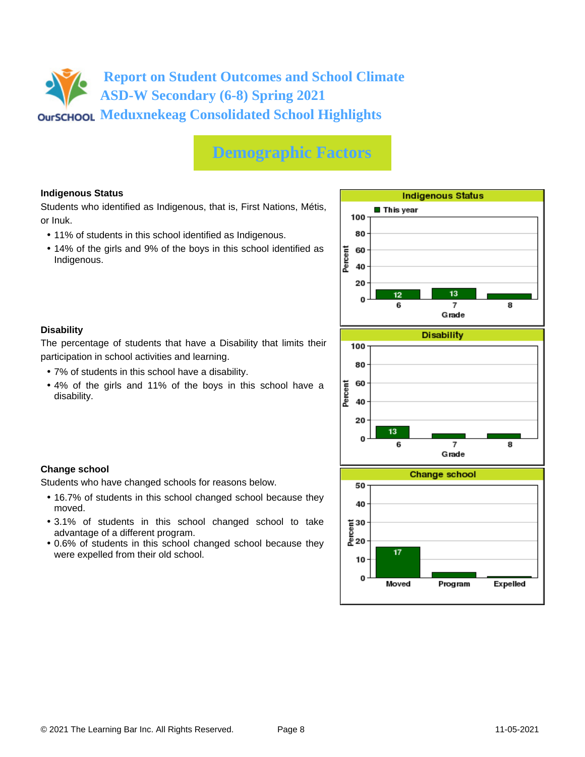# **Demographic Factors**

## **Indigenous Status**

Students who identified as Indigenous, that is, First Nations, Métis, or Inuk.

- 11% of students in this school identified as Indigenous.
- 14% of the girls and 9% of the boys in this school identified as Indigenous.



## **Disability**

**Change school**

moved.

The percentage of students that have a Disability that limits their participation in school activities and learning.

• 7% of students in this school have a disability.

Students who have changed schools for reasons below.

advantage of a different program.

were expelled from their old school.

• 4% of the girls and 11% of the boys in this school have a disability.

• 16.7% of students in this school changed school because they

• 3.1% of students in this school changed school to take

• 0.6% of students in this school changed school because they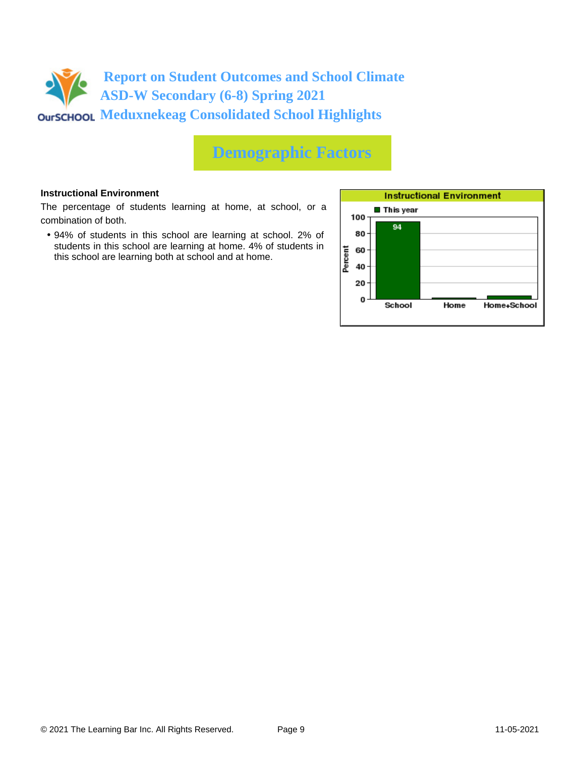

## **Demographic Factors**

### **Instructional Environment**

The percentage of students learning at home, at school, or a combination of both.

• 94% of students in this school are learning at school. 2% of students in this school are learning at home. 4% of students in this school are learning both at school and at home.

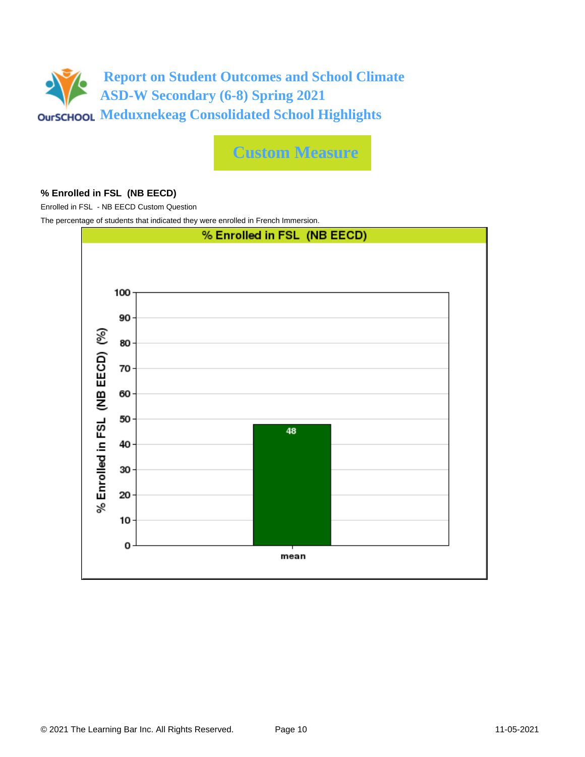

**Custom Measure**

### **% Enrolled in FSL (NB EECD)**

Enrolled in FSL - NB EECD Custom Question

The percentage of students that indicated they were enrolled in French Immersion.

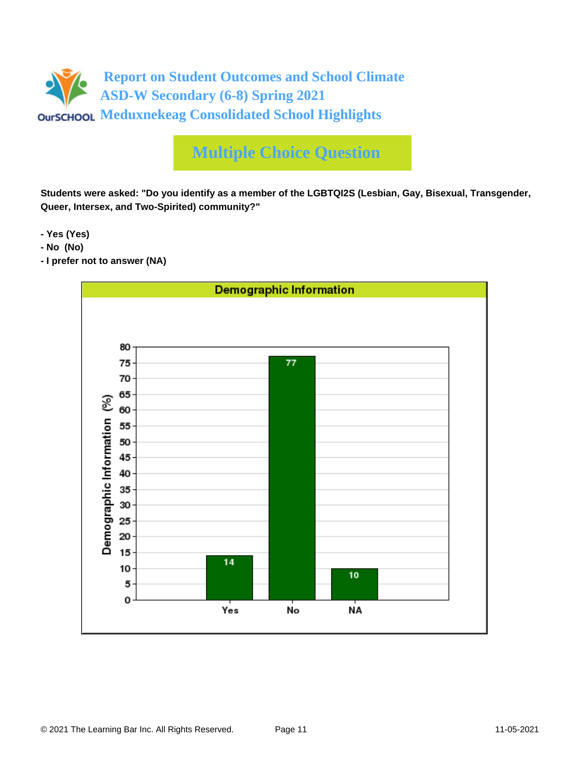

# **Multiple Choice Question**

**Students were asked: "Do you identify as a member of the LGBTQI2S (Lesbian, Gay, Bisexual, Transgender, Queer, Intersex, and Two-Spirited) community?"**

**- Yes (Yes)**

- **No (No)**
- **I prefer not to answer (NA)**

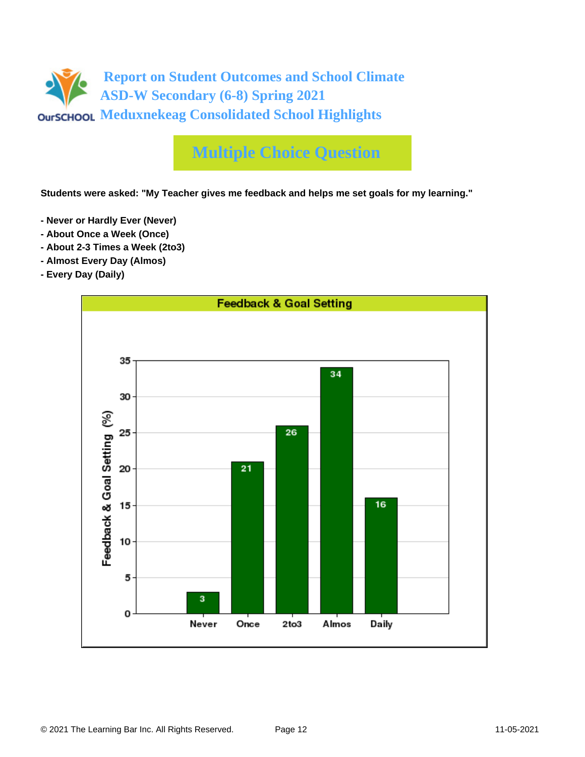

# **Multiple Choice Question**

**Students were asked: "My Teacher gives me feedback and helps me set goals for my learning."**

- **Never or Hardly Ever (Never)**
- **About Once a Week (Once)**
- **About 2-3 Times a Week (2to3)**
- **Almost Every Day (Almos)**
- **Every Day (Daily)**